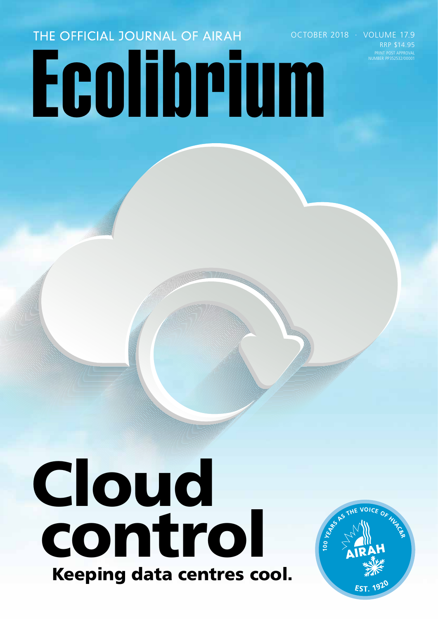# THE OFFICIAL JOURNAL OF AIRAH Ecolibrium

PRINT POST APPROVAL NUMBER PP352532/00001 OCTOBER 2018 · VOLUME 17.9 RRP \$14.95

## Cloud control Keeping data centres cool.

**JOICE OF** 100 YEAR